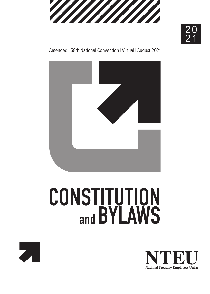

 $\frac{20}{5}$ 2 1

#### Amended | 58th National Convention | Virtual | August 2021



# **CONSTITUTION and BYLAWS**



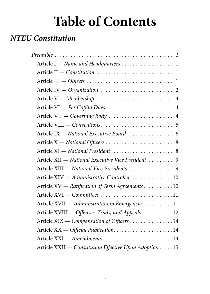## **Table of Contents**

## *NTEU Constitution*

| Article I - Name and Headquarters 1                    |
|--------------------------------------------------------|
|                                                        |
|                                                        |
|                                                        |
|                                                        |
| Article VI - Per Capita Dues4                          |
| Article VII - Governing Body 4                         |
|                                                        |
|                                                        |
|                                                        |
|                                                        |
| Article XII - National Executive Vice President 9      |
| Article XIII - National Vice Presidents9               |
| Article XIV - Administrative Controller10              |
| Article XV — Ratification of Term Agreements 10        |
| Article XVI - Committees 11                            |
| Article XVII - Administration in Emergencies. 11       |
| Article XVIII - Offenses, Trials, and Appeals. 12      |
| Article XIX — Compensation of Officers  14             |
| Article XX - Official Publication14                    |
| Article XXI - Amendments 14                            |
| Article XXII - Constitution Effective Upon Adoption 15 |
|                                                        |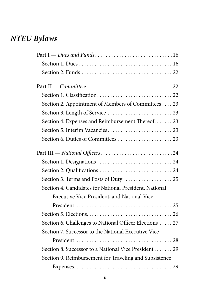## *NTEU Bylaws*

| Section 2. Appointment of Members of Committees 23      |
|---------------------------------------------------------|
|                                                         |
| Section 4. Expenses and Reimbursement Thereof 23        |
|                                                         |
|                                                         |
|                                                         |
|                                                         |
|                                                         |
| Section 3. Terms and Posts of Duty  25                  |
| Section 4. Candidates for National President, National  |
| Executive Vice President, and National Vice             |
|                                                         |
|                                                         |
| Section 6. Challenges to National Officer Elections  27 |
| Section 7. Successor to the National Executive Vice     |
|                                                         |
| Section 8. Successor to a National Vice President 29    |
| Section 9. Reimbursement for Traveling and Subsistence  |
|                                                         |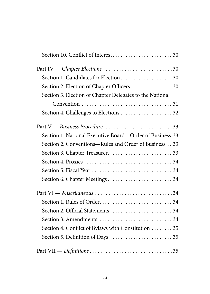| Part IV - Chapter Elections 30                           |
|----------------------------------------------------------|
|                                                          |
| Section 2. Election of Chapter Officers 30               |
| Section 3. Election of Chapter Delegates to the National |
|                                                          |
| Section 4. Challenges to Elections  32                   |
| Part V — Business Procedure33                            |
| Section 1. National Executive Board-Order of Business 33 |
| Section 2. Conventions—Rules and Order of Business 33    |
|                                                          |
|                                                          |
|                                                          |
| Section 6. Chapter Meetings 34                           |
| Part VI - Miscellaneous 34                               |
|                                                          |
|                                                          |
|                                                          |
| Section 4. Conflict of Bylaws with Constitution  35      |
|                                                          |
|                                                          |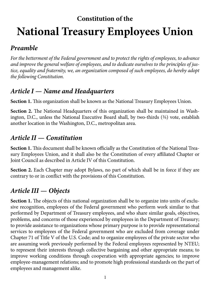## <span id="page-4-0"></span>**Constitution of the National Treasury Employees Union**

## *Preamble*

*For the betterment of the Federal government and to protect the rights of employees, to advance and improve the general welfare of employees, and to dedicate ourselves to the principles of justice, equality and fraternity, we, an organization composed of such employees, do hereby adopt the following Constitution .*

## *Article I — Name and Headquarters*

**Section 1.** This organization shall be known as the National Treasury Employees Union.

**Section 2.** The National Headquarters of this organization shall be maintained in Washington, D.C., unless the National Executive Board shall, by two-thirds  $(2)$  vote, establish another location in the Washington, D.C., metropolitan area.

## *Article II — Constitution*

**Section 1.** This document shall be known officially as the Constitution of the National Treasury Employees Union, and it shall also be the Constitution of every affiliated Chapter or Joint Council as described in Article IV of this Constitution.

**Section 2.** Each Chapter may adopt Bylaws, no part of which shall be in force if they are contrary to or in conflict with the provisions of this Constitution.

## *Article III — Objects*

**Section 1.** The objects of this national organization shall be to organize into units of exclusive recognition, employees of the Federal government who perform work similar to that performed by Department of Treasury employees, and who share similar goals, objectives, problems, and concerns of those experienced by employees in the Department of Treasury; to provide assistance to organizations whose primary purpose is to provide representational services to employees of the Federal government who are excluded from coverage under Chapter 71 of Title V of the U.S. Code; and to organize employees of the private sector who are assuming work previously performed by the Federal employees represented by NTEU; to represent their interests through collective bargaining and other appropriate means; to improve working conditions through cooperation with appropriate agencies; to improve employee-management relations; and to promote high professional standards on the part of employees and management alike.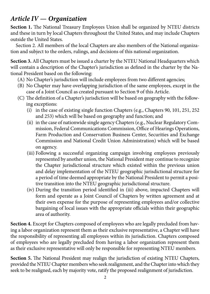## <span id="page-5-0"></span>*Article IV — Organization*

**Section 1.** The National Treasury Employees Union shall be organized by NTEU districts and these in turn by local Chapters throughout the United States, and may include Chapters outside the United States.

Section 2. All members of the local Chapters are also members of the National organization and subject to the orders, rulings, and decisions of this national organization.

**Section 3.** All Chapters must be issued a charter by the NTEU National Headquarters which will contain a description of the Chapter's jurisdiction as defined in the charter by the National President based on the following:

- (A) No Chapter's jurisdiction will include employees from two different agencies;
- (B) No Chapter may have overlapping jurisdiction of the same employees, except in the case of a Joint Council as created pursuant to Section 9 of this Article.
- (C) The definition of a Chapter's jurisdiction will be based on geography with the following exceptions:
	- (i) in the case of existing single function Chapters (e.g., Chapters 90, 101, 251, 252 and 253) which will be based on geography and function; and
	- (ii) in the case of nationwide single agency Chapters (e.g., Nuclear Regulatory Commission, Federal Communications Commission, Office of Hearings Operations, Farm Production and Conservation Business Center, Securities and Exchange Commission and National Credit Union Administration) which will be based on agency.
	- (iii) Following a successful organizing campaign involving employees previously represented by another union, the National President may continue to recognize the Chapter jurisdictional structure which existed within the previous union and delay implementation of the NTEU geographic jurisdictional structure for a period of time deemed appropriate by the National President to permit a positive transition into the NTEU geographic jurisdictional structure.
	- (iv) During the transition period identified in (iii) above, impacted Chapters will form and operate as a Joint Council of Chapters by written agreement and at their own expense for the purpose of representing employees and/or collective bargaining of local issues with the appropriate officials within their geographic area of authority.

**Section 4.** Except for Chapters composed of employees who are legally precluded from having a labor organization represent them as their exclusive representative, a Chapter will have the responsibility of representing all employees within its jurisdiction. Chapters composed of employees who are legally precluded from having a labor organization represent them as their exclusive representative will only be responsible for representing NTEU members.

**Section 5.** The National President may realign the jurisdiction of existing NTEU Chapters, provided the NTEU Chapter members who seek realignment, and the Chapter into which they seek to be realigned, each by majority vote, ratify the proposed realignment of jurisdiction.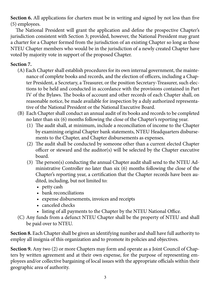**Section 6.** All applications for charters must be in writing and signed by not less than five (5) employees.

The National President will grant the application and define the prospective Chapter's jurisdiction consistent with Section 3; provided, however, the National President may grant a charter for a Chapter formed from the jurisdiction of an existing Chapter so long as those NTEU Chapter members who would be in the jurisdiction of a newly created Chapter have voted by majority vote in support of the proposed Chapter.

#### **Section 7.**

- (A) Each Chapter shall establish procedures for its own internal government, the maintenance of complete books and records, and the election of officers, including a Chapter President, a Secretary, a Treasurer, or the position Secretary-Treasurer, such elections to be held and conducted in accordance with the provisions contained in Part IV of the Bylaws. The books of account and other records of each Chapter shall, on reasonable notice, be made available for inspection by a duly authorized representative of the National President or the National Executive Board.
- (B) Each Chapter shall conduct an annual audit of its books and records to be completed no later than six (6) months following the close of the Chapter's reporting year.
	- (1) The audit shall, at minimum, include a reconciliation of income to the Chapter by examining original Chapter bank statements, NTEU Headquarters disbursements to the Chapter, and Chapter disbursements as expenses.
	- (2) The audit shall be conducted by someone other than a current elected Chapter officer or steward and the auditor(s) will be selected by the Chapter executive board.
	- (3) The person(s) conducting the annual Chapter audit shall send to the NTEU Administrative Controller no later than six (6) months following the close of the Chapter's reporting year, a certification that the Chapter records have been audited, including, but not limited to:
		- petty cash
		- bank reconciliations
		- expense disbursements, invoices and receipts
		- canceled checks
		- listing of all payments to the Chapter by the NTEU National Office.
- (C) Any funds from a defunct NTEU Chapter shall be the property of NTEU and shall be paid over to NTEU.

**Section 8.** Each Chapter shall be given an identifying number and shall have full authority to employ all insignia of this organization and to promote its policies and objectives.

**Section 9.** Any two (2) or more Chapters may form and operate as a Joint Council of Chapters by written agreement and at their own expense, for the purpose of representing employees and/or collective bargaining of local issues with the appropriate officials within their geographic area of authority.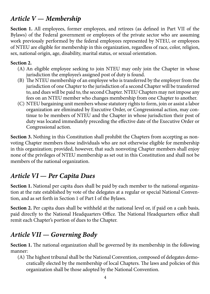## <span id="page-7-0"></span>*Article V — Membership*

**Section 1.** All employees, former employees, and retirees (as defined in Part VII of the Bylaws) of the Federal government or employees of the private sector who are assuming work previously performed by the federal employees represented by NTEU, or employees of NTEU are eligible for membership in this organization, regardless of race, color, religion, sex, national origin, age, disability, marital status, or sexual orientation.

#### **Section 2.**

- (A) An eligible employee seeking to join NTEU may only join the Chapter in whose jurisdiction the employee's assigned post of duty is found.
- (B) The NTEU membership of an employee who is transferred by the employer from the jurisdiction of one Chapter to the jurisdiction of a second Chapter will be transferred to, and dues will be paid to, the second Chapter. NTEU Chapters may not impose any fees on an NTEU member who changes membership from one Chapter to another.
- (C) NTEU bargaining unit members whose statutory rights to form, join or assist a labor organization are eliminated by Executive Order, or Congressional action, may continue to be members of NTEU and the Chapter in whose jurisdiction their post of duty was located immediately preceding the effective date of the Executive Order or Congressional action.

**Section 3.** Nothing in this Constitution shall prohibit the Chapters from accepting as nonvoting Chapter members those individuals who are not otherwise eligible for membership in this organization; provided, however, that such nonvoting Chapter members shall enjoy none of the privileges of NTEU membership as set out in this Constitution and shall not be members of the national organization.

## *Article VI — Per Capita Dues*

**Section 1.** National per capita dues shall be paid by each member to the national organization at the rate established by vote of the delegates at a regular or special National Convention, and as set forth in Section 1 of Part I of the Bylaws.

**Section 2.** Per capita dues shall be withheld at the national level or, if paid on a cash basis, paid directly to the National Headquarters Office. The National Headquarters office shall remit each Chapter's portion of dues to the Chapter.

## *Article VII — Governing Body*

**Section 1.** The national organization shall be governed by its membership in the following manner:

(A) The highest tribunal shall be the National Convention, composed of delegates democratically elected by the membership of local Chapters. The laws and policies of this organization shall be those adopted by the National Convention.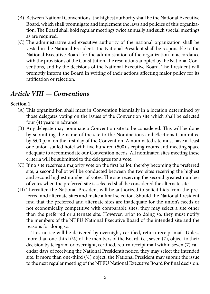- <span id="page-8-0"></span>(B) Between National Conventions, the highest authority shall be the National Executive Board, which shall promulgate and implement the laws and policies of this organization. The Board shall hold regular meetings twice annually and such special meetings as are required.
- (C) The administrative and executive authority of the national organization shall be vested in the National President. The National President shall be responsible to the National Executive Board for the administration of the organization in accordance with the provisions of the Constitution, the resolutions adopted by the National Conventions, and by the decisions of the National Executive Board. The President will promptly inform the Board in writing of their actions affecting major policy for its ratification or rejection.

## *Article VIII — Conventions*

#### **Section 1.**

- (A) This organization shall meet in Convention biennially in a location determined by those delegates voting on the issues of the Convention site which shall be selected four (4) years in advance.
- (B) Any delegate may nominate a Convention site to be considered. This will be done by submitting the name of the site to the Nominations and Elections Committee by 5:00 p.m. on the first day of the Convention. A nominated site must have at least one union-staffed hotel with five hundred (500) sleeping rooms and meeting space adequate to accommodate our Convention needs. All nominated sites meeting these criteria will be submitted to the delegates for a vote.
- (C) If no site receives a majority vote on the first ballot, thereby becoming the preferred site, a second ballot will be conducted between the two sites receiving the highest and second highest number of votes. The site receiving the second greatest number of votes when the preferred site is selected shall be considered the alternate site.
- (D) Thereafter, the National President will be authorized to solicit bids from the preferred and alternate sites and make a final selection. Should the National President find that the preferred and alternate sites are inadequate for the union's needs or not economically competitive with comparable sites, they may select a site other than the preferred or alternate site. However, prior to doing so, they must notify the members of the NTEU National Executive Board of the intended site and the reasons for doing so.

 This notice will be delivered by overnight, certified, return receipt mail. Unless more than one-third  $(1/3)$  of the members of the Board, i.e., seven  $(7)$ , object to their decision by telegram or overnight, certified, return receipt mail within seven (7) calendar days of receiving the National President's notice, they may select the intended site. If more than one-third  $(1/3)$  object, the National President may submit the issue to the next regular meeting of the NTEU National Executive Board for final decision.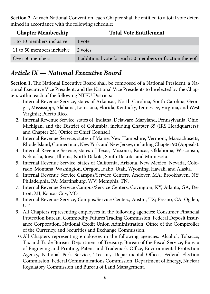<span id="page-9-0"></span>**Section 2.** At each National Convention, each Chapter shall be entitled to a total vote determined in accordance with the following schedule:

| <b>Chapter Membership</b>  | <b>Total Vote Entitlement</b>                             |
|----------------------------|-----------------------------------------------------------|
| 1 to 10 members inclusive  | 1 vote                                                    |
| 11 to 50 members inclusive | 2 votes                                                   |
| Over 50 members            | 1 additional vote for each 50 members or fraction thereof |

## *Article IX — National Executive Board*

**Section 1.** The National Executive Board shall be composed of a National President, a National Executive Vice President, and the National Vice Presidents to be elected by the Chapters within each of the following NTEU Districts:

- 1. Internal Revenue Service, states of Arkansas, North Carolina, South Carolina, Georgia, Mississippi, Alabama, Louisiana, Florida, Kentucky, Tennessee, Virginia, and West Virginia; Puerto Rico.
- 2. Internal Revenue Service, states of, Indiana, Delaware, Maryland, Pennsylvania, Ohio, Michigan, and the District of Columbia, including Chapter 65 (IRS Headquarters); and Chapter 251 (Office of Chief Counsel).
- 3. Internal Revenue Service, states of Maine, New Hampshire, Vermont, Massachusetts, Rhode Island, Connecticut, New York and New Jersey, including Chapter 90 (Appeals).
- 4. Internal Revenue Service, states of Texas, Missouri, Kansas, Oklahoma, Wisconsin, Nebraska, Iowa, Illinois, North Dakota, South Dakota, and Minnesota.
- 5. Internal Revenue Service, states of California, Arizona, New Mexico, Nevada, Colorado, Montana, Washington, Oregon, Idaho, Utah, Wyoming, Hawaii, and Alaska.
- 6. Internal Revenue Service Campus/Service Centers, Andover, MA; Brookhaven, NY; Philadelphia, PA; Martinsburg, WV; Memphis, TN.
- 7. Internal Revenue Service Campus/Service Centers, Covington, KY; Atlanta, GA; Detroit, MI; Kansas City, MO.
- 8. Internal Revenue Service, Campus/Service Centers, Austin, TX; Fresno, CA; Ogden, UT.
- 9. All Chapters representing employees in the following agencies: Consumer Financial Protection Bureau, Commodity Futures Trading Commission, Federal Deposit Insurance Corporation, National Credit Union Administration, Office of the Comptroller of the Currency, and Securities and Exchange Commission.
- 10.All Chapters representing employees in the following agencies: Alcohol, Tobacco, Tax and Trade Bureau–Department of Treasury, Bureau of the Fiscal Service, Bureau of Engraving and Printing, Patent and Trademark Office, Environmental Protection Agency, National Park Service, Treasury–Departmental Offices, Federal Election Commission, Federal Communications Commission, Department of Energy, Nuclear Regulatory Commission and Bureau of Land Management.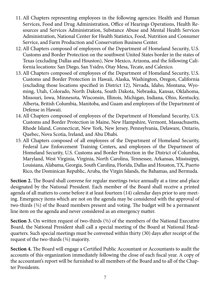- 11. All Chapters representing employees in the following agencies: Health and Human Services, Food and Drug Administration, Office of Hearings Operations, Health Resources and Services Administration, Substance Abuse and Mental Health Services Administration, National Center for Health Statistics, Food, Nutrition and Consumer Service, and Farm Production and Conservation Business Center.
- 12. All Chapters composed of employees of the Department of Homeland Security, U.S. Customs and Border Protection on the southwest United States border in the states of Texas (excluding Dallas and Houston), New Mexico, Arizona, and the following California locations: San Diego, San Ysidro, Otay Mesa, Tecate, and Calexico.
- 13. All Chapters composed of employees of the Department of Homeland Security, U.S. Customs and Border Protection in Hawaii, Alaska, Washington, Oregon, California (excluding those locations specified in District 12), Nevada, Idaho, Montana, Wyoming, Utah, Colorado, North Dakota, South Dakota, Nebraska, Kansas, Oklahoma, Missouri, Iowa, Minnesota, Wisconsin, Illinois, Michigan, Indiana, Ohio, Kentucky, Alberta, British Columbia, Manitoba, and Guam and employees of the Department of Defense in Hawaii.
- 14. All Chapters composed of employees of the Department of Homeland Security, U.S. Customs and Border Protection in Maine, New Hampshire, Vermont, Massachusetts, Rhode Island, Connecticut, New York, New Jersey, Pennsylvania, Delaware, Ontario, Quebec, Nova Scotia, Ireland, and Abu Dhabi.
- 15. All Chapters composed of all employees of the Department of Homeland Security, Federal Law Enforcement Training Centers, and employees of the Department of Homeland Security, U.S. Customs and Border Protection in the District of Columbia, Maryland, West Virginia, Virginia, North Carolina, Tennessee, Arkansas, Mississippi, Louisiana, Alabama, Georgia, South Carolina, Florida, Dallas and Houston, TX, Puerto Rico, the Dominican Republic, Aruba, the Virgin Islands, the Bahamas, and Bermuda.

**Section 2.** The Board shall convene for regular meetings twice annually at a time and place designated by the National President. Each member of the Board shall receive a printed agenda of all matters to come before it at least fourteen (14) calendar days prior to any meeting. Emergency items which are not on the agenda may be considered with the approval of two-thirds ( $\frac{2}{3}$ ) of the Board members present and voting. The budget will be a permanent line item on the agenda and never considered as an emergency matter.

**Section 3.** On written request of two-thirds ( $\frac{2}{3}$ ) of the members of the National Executive Board, the National President shall call a special meeting of the Board at National Headquarters. Such special meetings must be convened within thirty (30) days after receipt of the request of the two-thirds (%) majority.

**Section 4.** The Board will engage a Certified Public Accountant or Accountants to audit the accounts of this organization immediately following the close of each fiscal year. A copy of the accountant's report will be furnished to all members of the Board and to all of the Chapter Presidents.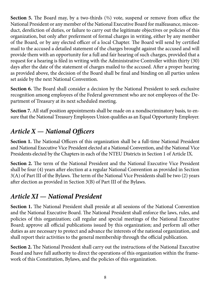<span id="page-11-0"></span>**Section 5.** The Board may, by a two-thirds ( $\frac{2}{3}$ ) vote, suspend or remove from office the National President or any member of the National Executive Board for malfeasance, misconduct, dereliction of duties, or failure to carry out the legitimate objectives or policies of this organization, but only after preferment of formal charges in writing, either by any member of the Board, or by any elected officer of a local Chapter. The Board will send by certified mail to the accused a detailed statement of the charges brought against the accused and will provide them with an opportunity for a full and fair hearing of such charges, provided that a request for a hearing is filed in writing with the Administrative Controller within thirty (30) days after the date of the statement of charges mailed to the accused. After a proper hearing as provided above, the decision of the Board shall be final and binding on all parties unless set aside by the next National Convention.

**Section 6.** The Board shall consider a decision by the National President to seek exclusive recognition among employees of the Federal government who are not employees of the Department of Treasury at its next scheduled meeting.

**Section 7.** All staff position appointments shall be made on a nondiscriminatory basis, to ensure that the National Treasury Employees Union qualifies as an Equal Opportunity Employer.

## *Article X — National Officers*

Section 1. The National Officers of this organization shall be a full-time National President and National Executive Vice President elected at a National Convention, and the National Vice Presidents elected by the Chapters in each of the NTEU Districts in Section 1 of Article IX.

**Section 2.** The term of the National President and the National Executive Vice President shall be four (4) years after election at a regular National Convention as provided in Section 3(A) of Part III of the Bylaws. The term of the National Vice Presidents shall be two (2) years after election as provided in Section 3(B) of Part III of the Bylaws.

## *Article XI — National President*

**Section 1.** The National President shall preside at all sessions of the National Convention and the National Executive Board. The National President shall enforce the laws, rules, and policies of this organization; call regular and special meetings of the National Executive Board; approve all official publications issued by this organization; and perform all other duties as are necessary to protect and advance the interests of the national organization, and shall report their activities to the general membership through the official publication.

**Section 2.** The National President shall carry out the instructions of the National Executive Board and have full authority to direct the operations of this organization within the framework of this Constitution, Bylaws, and the policies of this organization.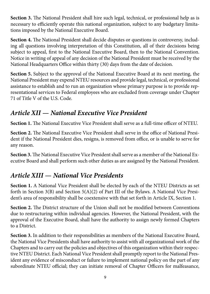<span id="page-12-0"></span>**Section 3.** The National President shall hire such legal, technical, or professional help as is necessary to efficiently operate this national organization, subject to any budgetary limitations imposed by the National Executive Board.

**Section 4.** The National President shall decide disputes or questions in controversy, including all questions involving interpretation of this Constitution, all of their decisions being subject to appeal, first to the National Executive Board, then to the National Convention. Notice in writing of appeal of any decision of the National President must be received by the National Headquarters Office within thirty (30) days from the date of decision.

**Section 5.** Subject to the approval of the National Executive Board at its next meeting, the National President may expend NTEU resources and provide legal, technical, or professional assistance to establish and to run an organization whose primary purpose is to provide representational services to Federal employees who are excluded from coverage under Chapter 71 of Title V of the U.S. Code.

## *Article XII — National Executive Vice President*

**Section 1.** The National Executive Vice President shall serve as a full-time officer of NTEU.

**Section 2.** The National Executive Vice President shall serve in the office of National President if the National President dies, resigns, is removed from office, or is unable to serve for any reason.

**Section 3.** The National Executive Vice President shall serve as a member of the National Executive Board and shall perform such other duties as are assigned by the National President.

## *Article XIII — National Vice Presidents*

**Section 1.** A National Vice President shall be elected by each of the NTEU Districts as set forth in Section 3(B) and Section 5(A)(2) of Part III of the Bylaws. A National Vice President's area of responsibility shall be coextensive with that set forth in Article IX, Section 1.

**Section 2.** The District structure of the Union shall not be modified between Conventions due to restructuring within individual agencies. However, the National President, with the approval of the Executive Board, shall have the authority to assign newly formed Chapters to a District.

**Section 3.** In addition to their responsibilities as members of the National Executive Board, the National Vice Presidents shall have authority to assist with all organizational work of the Chapters and to carry out the policies and objectives of this organization within their respective NTEU District. Each National Vice President shall promptly report to the National President any evidence of misconduct or failure to implement national policy on the part of any subordinate NTEU official; they can initiate removal of Chapter Officers for malfeasance,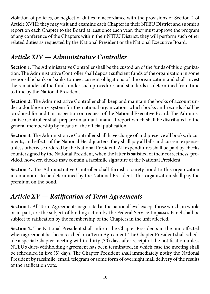<span id="page-13-0"></span>violation of policies, or neglect of duties in accordance with the provisions of Section 2 of Article XVIII; they may visit and examine each Chapter in their NTEU District and submit a report on each Chapter to the Board at least once each year; they must approve the program of any conference of the Chapters within their NTEU District; they will perform such other related duties as requested by the National President or the National Executive Board.

## *Article XIV — Administrative Controller*

**Section 1.** The Administrative Controller shall be the custodian of the funds of this organization. The Administrative Controller shall deposit sufficient funds of the organization in some responsible bank or banks to meet current obligations of the organization and shall invest the remainder of the funds under such procedures and standards as determined from time to time by the National President.

**Section 2.** The Administrative Controller shall keep and maintain the books of account under a double entry system for the national organization, which books and records shall be produced for audit or inspection on request of the National Executive Board. The Administrative Controller shall prepare an annual financial report which shall be distributed to the general membership by means of the official publication.

**Section 3.** The Administrative Controller shall have charge of and preserve all books, documents, and effects of the National Headquarters; they shall pay all bills and current expenses unless otherwise ordered by the National President. All expenditures shall be paid by checks countersigned by the National President, when the latter is satisfied of their correctness, provided, however, checks may contain a facsimile signature of the National President.

**Section 4.** The Administrative Controller shall furnish a surety bond to this organization in an amount to be determined by the National President. This organization shall pay the premium on the bond.

## *Article XV — Ratification of Term Agreements*

**Section 1.** All Term Agreements negotiated at the national level except those which, in whole or in part, are the subject of binding action by the Federal Service Impasses Panel shall be subject to ratification by the membership of the Chapters in the unit affected.

**Section 2.** The National President shall inform the Chapter Presidents in the unit affected when agreement has been reached on a Term Agreement. The Chapter President shall schedule a special Chapter meeting within thirty (30) days after receipt of the notification unless NTEU's dues-withholding agreement has been terminated, in which case the meeting shall be scheduled in five (5) days. The Chapter President shall immediately notify the National President by facsimile, email, telegram or some form of overnight mail delivery of the results of the ratification vote.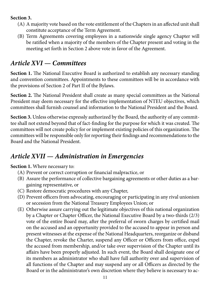#### <span id="page-14-0"></span>**Section 3.**

- (A) A majority vote based on the vote entitlement of the Chapters in an affected unit shall constitute acceptance of the Term Agreement.
- (B) Term Agreements covering employees in a nationwide single agency Chapter will be ratified when a majority of the members of the Chapter present and voting in the meeting set forth in Section 2 above vote in favor of the Agreement.

## *Article XVI — Committees*

Section 1. The National Executive Board is authorized to establish any necessary standing and convention committees. Appointments to these committees will be in accordance with the provisions of Section 2 of Part II of the Bylaws.

**Section 2.** The National President shall create as many special committees as the National President may deem necessary for the effective implementation of NTEU objectives, which committees shall furnish counsel and information to the National President and the Board.

**Section 3.** Unless otherwise expressly authorized by the Board, the authority of any committee shall not extend beyond that of fact-finding for the purpose for which it was created. The committees will not create policy for or implement existing policies of this organization. The committees will be responsible only for reporting their findings and recommendations to the Board and the National President.

## *Article XVII — Administration in Emergencies*

#### **Section 1.** Where necessary to:

- (A) Prevent or correct corruption or financial malpractice, or
- (B) Assure the performance of collective bargaining agreements or other duties as a bargaining representative, or
- (C) Restore democratic procedures with any Chapter,
- (D) Prevent officers from advocating, encouraging or participating in any rival unionism or secession from the National Treasury Employees Union; or
- (E) Otherwise assure carrying out the legitimate objectives of this national organization by a Chapter or Chapter Officer, the National Executive Board by a two-thirds (2/3) vote of the entire Board may, after the preferral of sworn charges by certified mail on the accused and an opportunity provided to the accused to appear in person and present witnesses at the expense of the National Headquarters, reorganize or disband the Chapter, revoke the Charter, suspend any Officer or Officers from office, expel the accused from membership, and/or take over supervision of the Chapter until its affairs have been properly adjusted. In such event, the Board shall designate one of its members as administrator who shall have full authority over and supervision of all functions of the Chapter and may suspend any or all Officers as directed by the Board or in the administrator's own discretion where they believe is necessary to ac-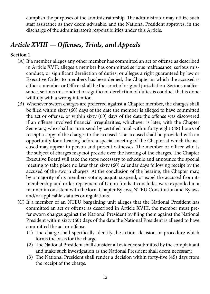<span id="page-15-0"></span>complish the purposes of the administratorship. The administrator may utilize such staff assistance as they deem advisable, and the National President approves, in the discharge of the administrator's responsibilities under this Article.

## *Article XVIII — Offenses, Trials, and Appeals*

#### **Section 1.**

- (A) If a member alleges any other member has committed an act or offense as described in Article XVII; alleges a member has committed serious malfeasance, serious misconduct, or significant dereliction of duties; or alleges a right guaranteed by law or Executive Order to members has been denied, the Chapter in which the accused is either a member or Officer shall be the court of original jurisdiction. Serious malfeasance, serious misconduct or significant dereliction of duties is conduct that is done willfully with a wrong intention.
- (B) Whenever sworn charges are preferred against a Chapter member, the charges shall be filed within sixty (60) days of the date the member is alleged to have committed the act or offense, or within sixty (60) days of the date the offense was discovered if an offense involved financial irregularities, whichever is later, with the Chapter Secretary, who shall in turn send by certified mail within forty-eight (48) hours of receipt a copy of the charges to the accused. The accused shall be provided with an opportunity for a hearing before a special meeting of the Chapter at which the accused may appear in person and present witnesses. The member or officer who is the subject of charges may not preside over the hearing of the charges. The Chapter Executive Board will take the steps necessary to schedule and announce the special meeting to take place no later than sixty (60) calendar days following receipt by the accused of the sworn charges. At the conclusion of the hearing, the Chapter may, by a majority of its members voting, acquit, suspend, or expel the accused from its membership and order repayment of Union funds it concludes were expended in a manner inconsistent with the local Chapter Bylaws, NTEU Constitution and Bylaws and/or applicable statutes or regulations.
- (C) If a member of an NTEU bargaining unit alleges that the National President has committed an act or offense as described in Article XVIII, the member must prefer sworn charges against the National President by filing them against the National President within sixty (60) days of the date the National President is alleged to have committed the act or offense.
	- (1) The charge shall specifically identify the action, decision or procedure which forms the basis for the charge.
	- (2) The National President shall consider all evidence submitted by the complainant and make such investigation as the National President shall deem necessary.
	- (3) The National President shall render a decision within forty-five (45) days from the receipt of the charge.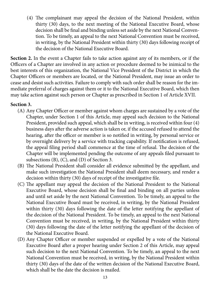(4) The complainant may appeal the decision of the National President, within thirty (30) days, to the next meeting of the National Executive Board, whose decision shall be final and binding unless set aside by the next National Convention. To be timely, an appeal to the next National Convention must be received, in writing, by the National President within thirty (30) days following receipt of the decision of the National Executive Board.

**Section 2.** In the event a Chapter fails to take action against any of its members, or if the Officers of a Chapter are involved in any action or procedure deemed to be inimical to the best interests of this organization, the National Vice President of the District in which the Chapter Officers or members are located, or the National President, may issue an order to cease and desist such activities. Failure to comply with such order shall be reason for the immediate preferral of charges against them or it to the National Executive Board, which then may take action against such person or Chapter as prescribed in Section 1 of Article XVII.

#### **Section 3.**

- (A) Any Chapter Officer or member against whom charges are sustained by a vote of the Chapter, under Section 1 of this Article, may appeal such decision to the National President, provided such appeal, which shall be in writing, is received within four (4) business days after the adverse action is taken or, if the accused refused to attend the hearing, after the officer or member is so notified in writing, by personal service or by overnight delivery by a service with tracking capability. If notification is refused, the appeal filing period shall commence at the time of refusal. The decision of the Chapter will be implemented pending the outcome of any appeals filed pursuant to subsections (B), (C), and (D) of Section 3.
- (B) The National President shall consider all evidence submitted by the appellant, and make such investigation the National President shall deem necessary, and render a decision within thirty (30) days of receipt of the investigative file.
- (C) The appellant may appeal the decision of the National President to the National Executive Board, whose decision shall be final and binding on all parties unless and until set aside by the next National Convention. To be timely, an appeal to the National Executive Board must be received, in writing, by the National President within thirty (30) days following the date of the letter notifying the appellant of the decision of the National President. To be timely, an appeal to the next National Convention must be received, in writing, by the National President within thirty (30) days following the date of the letter notifying the appellant of the decision of the National Executive Board.
- (D) Any Chapter Officer or member suspended or expelled by a vote of the National Executive Board after a proper hearing under Section 2 of this Article, may appeal such decision to the next National Convention. To be timely, an appeal to the next National Convention must be received, in writing, by the National President within thirty (30) days of the date of the written decision of the National Executive Board, which shall be the date the decision is mailed.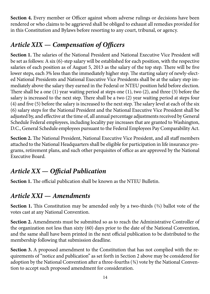<span id="page-17-0"></span>**Section 4.** Every member or Officer against whom adverse rulings or decisions have been rendered or who claims to be aggrieved shall be obliged to exhaust all remedies provided for in this Constitution and Bylaws before resorting to any court, tribunal, or agency.

## *Article XIX — Compensation of Officers*

**Section 1.** The salaries of the National President and National Executive Vice President will be set as follows: A six (6)-step salary will be established for each position, with the respective salaries of each position as of August 5, 2013 as the salary of the top step. There will be five lower steps, each 3% less than the immediately higher step. The starting salary of newly-elected National Presidents and National Executive Vice Presidents shall be at the salary step immediately above the salary they earned in the Federal or NTEU position held before election. There shall be a one (1) year waiting period at steps one (1), two (2), and three (3) before the salary is increased to the next step. There shall be a two (2) year waiting period at steps four (4) and five (5) before the salary is increased to the next step. The salary level at each of the six (6) salary steps for the National President and the National Executive Vice President shall be adjusted by, and effective at the time of, all annual percentage adjustments received by General Schedule Federal employees, including locality pay increases that are granted to Washington, D.C., General Schedule employees pursuant to the Federal Employees Pay Comparability Act.

**Section 2.** The National President, National Executive Vice President, and all staff members attached to the National Headquarters shall be eligible for participation in life insurance programs, retirement plans, and such other perquisites of office as are approved by the National Executive Board.

## *Article XX — Official Publication*

**Section 1.** The official publication shall be known as the NTEU Bulletin.

## *Article XXI — Amendments*

Section 1. This Constitution may be amended only by a two-thirds (%) ballot vote of the votes cast at any National Convention.

**Section 2.** Amendments must be submitted so as to reach the Administrative Controller of the organization not less than sixty (60) days prior to the date of the National Convention, and the same shall have been printed in the next official publication to be distributed to the membership following that submission deadline.

**Section 3.** A proposed amendment to the Constitution that has not complied with the requirements of "notice and publication" as set forth in Section 2 above may be considered for adoption by the National Convention after a three-fourths  $(34)$  vote by the National Convention to accept such proposed amendment for consideration.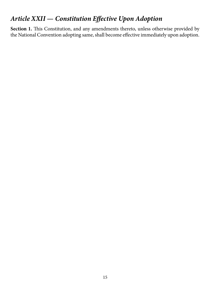## <span id="page-18-0"></span>*Article XXII — Constitution Effective Upon Adoption*

Section 1. This Constitution, and any amendments thereto, unless otherwise provided by the National Convention adopting same, shall become effective immediately upon adoption.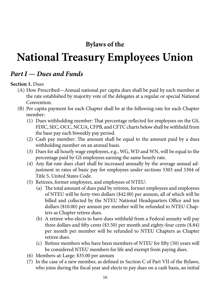## **Bylaws of the**

## <span id="page-19-0"></span>**National Treasury Employees Union**

## *Part I — Dues and Funds*

#### **Section 1.** Dues

- (A) How Prescribed—Annual national per capita dues shall be paid by each member at the rate established by majority vote of the delegates at a regular or special National Convention.
- (B) Per capita payment for each Chapter shall be at the following rate for each Chapter member:
	- (1) Dues withholding member: That percentage reflected for employees on the GS, FDIC, SEC, OCC, NCUA, CFPB, and CFTC charts below shall be withheld from the base pay each biweekly pay period.
	- (2) Cash pay member: The amount shall be equal to the amount paid by a dues withholding member on an annual basis.
	- (3) Dues for all hourly wage employees, e.g., WG, WD and WN, will be equal to the percentage paid by GS employees earning the same hourly rate.
	- (4) Any flat-rate dues chart shall be increased annually by the average annual adjustment in rates of basic pay for employees under sections 5303 and 5304 of Title 5, United States Code.
	- (5) Retirees, former employees, and employees of NTEU:
		- (a) The total amount of dues paid by retirees, former employees and employees of NTEU will be forty-two dollars (\$42.00) per annum, all of which will be billed and collected by the NTEU National Headquarters Office and ten dollars (\$10.00) per annum per member will be refunded to NTEU Chapters as Chapter retiree dues.
		- (b) A retiree who elects to have dues withheld from a Federal annuity will pay three dollars and fifty cents (\$3.50) per month and eighty-four cents (\$.84) per month per member will be refunded to NTEU Chapters as Chapter retiree dues.
		- (c) Retiree members who have been members of NTEU for fifty (50) years will be considered NTEU members for life and exempt from paying dues.
	- (6) Members-at-Large: \$35.00 per annum
	- (7) In the case of a new member, as defined in Section C of Part VII of the Bylaws, who joins during the fiscal year and elects to pay dues on a cash basis, an initial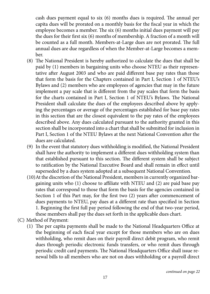cash dues payment equal to six (6) months dues is required. The annual per capita dues will be prorated on a monthly basis for the fiscal year in which the employee becomes a member. The six (6) months initial dues payment will pay the dues for their first six (6) months of membership. A fraction of a month will be counted as a full month. Members-at-Large dues are not prorated. The full annual dues are due regardless of when the Member-at-Large becomes a member.

- (8) The National President is hereby authorized to calculate the dues that shall be paid by (1) members in bargaining units who choose NTEU as their representative after August 2003 and who are paid different base pay rates than those that form the basis for the Chapters contained in Part I, Section 1 of NTEU's Bylaws and (2) members who are employees of agencies that may in the future implement a pay scale that is different from the pay scales that form the basis for the charts contained in Part I, Section 1 of NTEU's Bylaws. The National President shall calculate the dues of the employees described above by applying the percentages or average of the percentages established for base pay rates in this section that are the closest equivalent to the pay rates of the employees described above. Any dues calculated pursuant to the authority granted in this section shall be incorporated into a chart that shall be submitted for inclusion in Part I, Section 1 of the NTEU Bylaws at the next National Convention after the dues are calculated.
- (9) In the event that statutory dues withholding is modified, the National President shall have the authority to implement a different dues withholding system than that established pursuant to this section. The different system shall be subject to ratification by the National Executive Board and shall remain in effect until superseded by a dues system adopted at a subsequent National Convention.
- (10) At the discretion of the National President, members in currently organized bargaining units who (1) choose to affiliate with NTEU and (2) are paid base pay rates that correspond to those that form the basis for the agencies contained in Section 1 of this Part may, for the first two (2) years after commencement of dues payments to NTEU, pay dues at a different rate than specified in Section 1. Beginning the first full pay period following the end of that two-year period, these members shall pay the dues set forth in the applicable dues chart.
- (C) Method of Payment:
	- (1) The per capita payments shall be made to the National Headquarters Office at the beginning of each fiscal year except for those members who are on dues withholding, who remit dues on their payroll direct debit program, who remit dues through periodic electronic funds transfers, or who remit dues through periodic credit card payments. The National Headquarters Office shall issue renewal bills to all members who are not on dues withholding or a payroll direct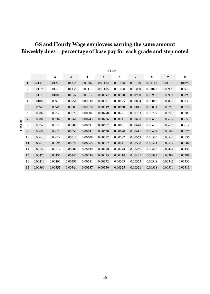#### **GS and Hourly Wage employees earning the same amount Biweekly dues = percentage of base pay for each grade and step noted**

|       |                         | <b>STEP</b>  |                |                         |                         |         |         |                |         |                  |         |
|-------|-------------------------|--------------|----------------|-------------------------|-------------------------|---------|---------|----------------|---------|------------------|---------|
|       |                         | $\mathbf{I}$ | $\overline{2}$ | $\overline{\mathbf{3}}$ | $\overline{\mathbf{4}}$ | 5       | 6       | $\overline{7}$ | 8       | $\boldsymbol{9}$ | 10      |
|       | $\bf{l}$                | 0.01310      | 0.01272        | 0.01238                 | 0.01207                 | 0.01182 | 0.01168 | 0.01140        | 0.01115 | 0.01114          | 0.01092 |
|       | $\overline{2}$          | 0.01190      | 0.01170        | 0.01138                 | 0.01113                 | 0.01105 | 0.01078 | 0.01050        | 0.01022 | 0.00998          | 0.00979 |
|       | 3                       | 0.01110      | 0.01080        | 0.01047                 | 0.01017                 | 0.00992 | 0.00970 | 0.00950        | 0.00930 | 0.00914          | 0.00899 |
|       | $\overline{\mathbf{4}}$ | 0.01000      | 0.00975        | 0.00951                 | 0.00930                 | 0.00911 | 0.00895 | 0.00884        | 0.00868 | 0.00850          | 0.00833 |
|       | 5                       | 0.00920      | 0.00900        | 0.00885                 | 0.00870                 | 0.00849 | 0.00830 | 0.00815        | 0.00801 | 0.00788          | 0.00772 |
| GRADE | 6                       | 0.00860      | 0.00839        | 0.00820                 | 0.00804                 | 0.00790 | 0.00771 | 0.00753        | 0.00739 | 0.00723          | 0.00709 |
|       | 7                       | 0.00800      | 0.00782        | 0.00761                 | 0.00743                 | 0.00726 | 0.00711 | 0.00698        | 0.00686 | 0.00672          | 0.00659 |
|       | 8                       | 0.00740      | 0.00720        | 0.00705                 | 0.00691                 | 0.00677 | 0.00661 | 0.00648        | 0.00635 | 0.00626          | 0.00617 |
|       | 9                       | 0.00690      | 0.00673        | 0.00657                 | 0.00641                 | 0.00630 | 0.00620 | 0.00611        | 0.00602 | 0.00589          | 0.00576 |
|       | 10                      | 0.00640      | 0.00629        | 0.00618                 | 0.00609                 | 0.00597 | 0.00582 | 0.00569        | 0.00556 | 0.00545          | 0.00536 |
|       | 11                      | 0.00610      | 0.00596        | 0.00579                 | 0.00565                 | 0.00552 | 0.00541 | 0.00530        | 0.00521 | 0.00512          | 0.00504 |
|       | 12                      | 0.00530      | 0.00519        | 0.00509                 | 0.00499                 | 0.00488 | 0.00478 | 0.00467        | 0.00456 | 0.00447          | 0.00438 |
|       | 13                      | 0.00470      | 0.00457        | 0.00447                 | 0.00436                 | 0.00425 | 0.00414 | 0.00405        | 0.00397 | 0.00389          | 0.00381 |
|       | 14                      | 0.00410      | 0.00400        | 0.00391                 | 0.00381                 | 0.00372 | 0.00363 | 0.00355        | 0.00348 | 0.00342          | 0.00336 |
|       | 15                      | 0.00360      | 0.00351        | 0.00344                 | 0.00337                 | 0.00330 | 0.00325 | 0.00321        | 0.00318 | 0.00316          | 0.00313 |
|       |                         |              |                |                         |                         |         |         |                |         |                  |         |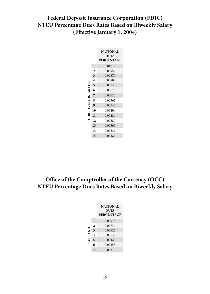#### **Federal Deposit Insurance Corporation (FDIC) NTEU Percentage Dues Rates Based on Biweekly Salary (Effective January 1, 2004)**

|                  |                         | <b>NATIONAL</b><br><b>DUES</b><br><b>PERCENTAGE</b> |
|------------------|-------------------------|-----------------------------------------------------|
|                  | $\mathbf{I}$            | 0.01019                                             |
|                  | $\overline{\mathbf{c}}$ | 0.00955                                             |
|                  | 3                       | 0.00870                                             |
|                  | 4                       | 0.00805                                             |
|                  | 5                       | 0.00740                                             |
|                  | 6                       | 0.00670                                             |
| ORPORATION GRADE | $\overline{7}$          | 0.00620                                             |
|                  | 8                       | 0.00563                                             |
|                  | $\boldsymbol{9}$        | 0.00542                                             |
|                  | 10                      | 0.00494                                             |
|                  | 11                      | 0.00434                                             |
|                  | 12                      | 0.00387                                             |
|                  | 13                      | 0.00360                                             |
|                  | 14                      | 0.00339                                             |
|                  | 15                      | 0.00324                                             |

#### **Office of the Comptroller of the Currency (OCC) NTEU Percentage Dues Rates Based on Biweekly Salary**

|          |                     | <b>NATIONAL</b><br><b>DUES</b><br><b>PERCENTAGE</b> |
|----------|---------------------|-----------------------------------------------------|
| PAY BANI | 1                   | 0.00913                                             |
|          | $\overline{c}$      | 0.00744                                             |
|          | 3                   | 0.00625                                             |
|          | $\overline{\bf{4}}$ | 0.00539                                             |
|          | 5                   | 0.00420                                             |
|          | 6                   | 0.00353                                             |
|          |                     | 0.00319                                             |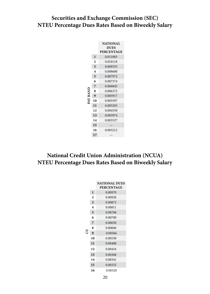#### **Securities and Exchange Commission (SEC) NTEU Percentage Dues Rates Based on Biweekly Salary**

|           |              | <b>NATIONAL</b>                  |
|-----------|--------------|----------------------------------|
|           |              | <b>DUES</b><br><b>PERCENTAGE</b> |
|           | 1            | 0.011083                         |
|           | 2            | 0.010118                         |
|           | 3            | 0.009355                         |
|           | 4            | 0.008600                         |
|           | 5            | 0.007972                         |
|           | 6            | 0.007374                         |
|           | 7            | 0.006845                         |
|           | 8            | 0.006372                         |
| INV BY RV | $\mathbf{Q}$ | 0.005917                         |
|           | 10           | 0.005597                         |
|           | 11           | 0.005203                         |
|           | 12           | 0.004550                         |
|           | 13           | 0.003974                         |
|           | 14           | 0.003527                         |
|           | 15           |                                  |
|           | 16           | 0.003212                         |
|           | 17           |                                  |

#### **National Credit Union Administration (NCUA) NTEU Percentage Dues Rates Based on Biweekly Salary**

|   |                | <b>NATIONAL DUES</b><br><b>PERCENTAGE</b> |
|---|----------------|-------------------------------------------|
|   | $\mathbf{I}$   | 0.00970                                   |
|   | $\overline{2}$ | 0.00920                                   |
|   | 3              | 0.00873                                   |
|   | 4              | 0.00811                                   |
|   | 5              | 0.00768                                   |
|   | 6              | 0.00700                                   |
|   | 7              | 0.00650                                   |
|   | 8              | 0.00606                                   |
| R | 9              | 0.00566                                   |
|   | 10             | 0.00538                                   |
|   | $\mathbf{11}$  | 0.00488                                   |
|   | 12             | 0.00416                                   |
|   | 13             | 0.00368                                   |
|   | 14             | 0.00341                                   |
|   | 15             | 0.00332                                   |
|   | 16             | 0.00320                                   |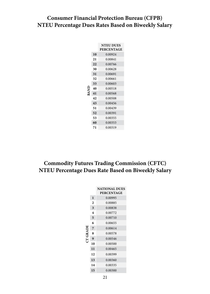#### **Consumer Financial Protection Bureau (CFPB) NTEU Percentage Dues Rates Based on Biweekly Salary**

|      |    | <b>NTEU DUES</b><br><b>PERCENTAGE</b> |
|------|----|---------------------------------------|
|      | 10 | 0.00924                               |
|      | 21 | 0.00841                               |
|      | 22 | 0.00766                               |
|      | 30 | 0.00628                               |
|      | 31 | 0.00691                               |
|      | 32 | 0.00661                               |
|      | 33 | 0.00603                               |
|      | 40 | 0.00518                               |
| 3ANI | 41 | 0.00568                               |
|      | 42 | 0.00508                               |
|      | 43 | 0.00456                               |
|      | 51 | 0.00439                               |
|      | 52 | 0.00391                               |
|      | 53 | 0.00355                               |
|      | 60 | 0.00353                               |
|      | 71 | 0.00319                               |

#### **Commodity Futures Trading Commission (CFTC) NTEU Percentage Dues Rate Based on Biweekly Salary**

|              |                | <b>NATIONAL DUES</b><br><b>PERCENTAGE</b> |
|--------------|----------------|-------------------------------------------|
|              | $\mathbf{I}$   | 0.00995                                   |
|              | $\overline{c}$ | 0.00885                                   |
|              | 3              | 0.00838                                   |
|              | 4              | 0.00772                                   |
|              | 5              | 0.00710                                   |
|              | 6              | 0.00655                                   |
|              | 7              | 0.00614                                   |
| <b>CRADE</b> | 8              | 0.00578                                   |
|              | 9              | 0.00546                                   |
|              | 10             | 0.00500                                   |
|              | $\mathbf{11}$  | 0.00465                                   |
|              | 12             | 0.00399                                   |
|              | 13             | 0.00360                                   |
|              | 14             | 0.00335                                   |
|              | 15             | 0.00300                                   |
|              |                |                                           |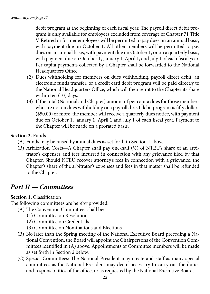<span id="page-25-0"></span>debit program at the beginning of each fiscal year. The payroll direct debit program is only available for employees excluded from coverage of Chapter 71 Title V. Retired or former employees will be permitted to pay dues on an annual basis, with payment due on October 1. All other members will be permitted to pay dues on an annual basis, with payment due on October 1, or on a quarterly basis, with payment due on October 1, January 1, April 1, and July 1 of each fiscal year. Per capita payments collected by a Chapter shall be forwarded to the National Headquarters Office.

- (2) Dues withholding for members on dues withholding, payroll direct debit, an electronic funds transfer, or a credit card debit program will be paid directly to the National Headquarters Office, which will then remit to the Chapter its share within ten (10) days.
- (3) If the total (National and Chapter) amount of per capita dues for those members who are not on dues withholding or a payroll direct debit program is fifty dollars (\$50.00) or more, the member will receive a quarterly dues notice, with payment due on October 1, January 1, April 1 and July 1 of each fiscal year. Payment to the Chapter will be made on a prorated basis.

#### **Section 2.** Funds

- (A) Funds may be raised by annual dues as set forth in Section 1 above.
- (B) Arbitration Costs—A Chapter shall pay one-half  $(\frac{1}{2})$  of NTEU's share of an arbitrator's expenses and fees incurred in connection with any grievance filed by that Chapter. Should NTEU recover attorney's fees in connection with a grievance, the Chapter's share of the arbitrator's expenses and fees in that matter shall be refunded to the Chapter.

## *Part II — Committees*

#### **Section 1.** Classification

The following committees are hereby provided:

- (A) The Convention Committees shall be:
	- (1) Committee on Resolutions
	- (2) Committee on Credentials
	- (3) Committee on Nominations and Elections
- (B) No later than the Spring meeting of the National Executive Board preceding a National Convention, the Board will appoint the Chairpersons of the Convention Committees identified in (A) above. Appointments of Committee members will be made as set forth in Section 2 below.
- (C) Special Committees: The National President may create and staff as many special committees as the National President may deem necessary to carry out the duties and responsibilities of the office, or as requested by the National Executive Board.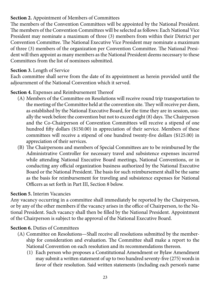#### <span id="page-26-0"></span>**Section 2.** Appointment of Members of Committees

The members of the Convention Committees will be appointed by the National President. The members of the Convention Committees will be selected as follows: Each National Vice President may nominate a maximum of three (3) members from within their District per Convention Committee. The National Executive Vice President may nominate a maximum of three (3) members of the organization per Convention Committee. The National President will then appoint as many members as the National President deems necessary to these Committees from the list of nominees submitted.

#### **Section 3.** Length of Service

Each committee shall serve from the date of its appointment as herein provided until the adjournment of the National Convention which it served.

#### **Section 4.** Expenses and Reimbursement Thereof

- (A) Members of the Committee on Resolutions will receive round trip transportation to the meeting of the Committee held at the convention site. They will receive per diem, as established by the National Executive Board, for the time they are in session, usually the week before the convention but not to exceed eight (8) days. The Chairperson and the Co-Chairperson of Convention Committees will receive a stipend of one hundred fifty dollars (\$150.00) in appreciation of their service. Members of these committees will receive a stipend of one hundred twenty-five dollars (\$125.00) in appreciation of their services.
- (B) The Chairpersons and members of Special Committees are to be reimbursed by the Administrative Controller for necessary travel and subsistence expenses incurred while attending National Executive Board meetings, National Conventions, or in conducting any official organization business authorized by the National Executive Board or the National President. The basis for such reimbursement shall be the same as the basis for reimbursement for traveling and subsistence expenses for National Officers as set forth in Part III, Section 8 below.

#### **Section 5.** Interim Vacancies

Any vacancy occurring in a committee shall immediately be reported by the Chairperson, or by any of the other members if the vacancy arises in the office of Chairperson, to the National President. Such vacancy shall then be filled by the National President. Appointment of the Chairperson is subject to the approval of the National Executive Board.

#### **Section 6.** Duties of Committees

- (A) Committee on Resolutions—Shall receive all resolutions submitted by the membership for consideration and evaluation. The Committee shall make a report to the National Convention on each resolution and its recommendations thereon.
	- (1) Each person who proposes a Constitutional Amendment or Bylaw Amendment may submit a written statement of up to two hundred seventy-five (275) words in favor of their resolution. Said written statements (including each person's name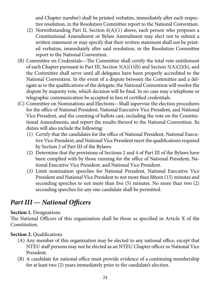and Chapter number) shall be printed verbatim, immediately after each respective resolution, in the Resolution Committee report to the National Convention.

- <span id="page-27-0"></span>(2) Notwithstanding Part II, Section 6(A)(1) above, each person who proposes a Constitutional Amendment or Bylaw Amendment may elect not to submit a written statement or may specify that their written statement shall not be printed verbatim, immediately after said resolution, in the Resolution Committee report to the National Convention.
- (B) Committee on Credentials—The Committee shall certify the total vote entitlement of each Chapter pursuant to Part III, Section 5(A)(1)(b) and Section 5(A)(2)(b), and the Committee shall serve until all delegates have been properly accredited to the National Convention. In the event of a dispute between the Committee and a delegate as to the qualifications of the delegate, the National Convention will resolve the dispute by majority vote, which decision will be final. In no case may a telephone or telegraphic communication be accepted in lieu of certified credentials.
- (C) Committee on Nominations and Elections—Shall supervise the election procedures for the office of National President, National Executive Vice President, and National Vice President, and the counting of ballots cast, including the vote on the Constitutional Amendments, and report the results thereof to the National Convention. Its duties will also include the following:
	- (1) Certify that the candidates for the office of National President, National Executive Vice President, and National Vice President meet the qualifications required by Section 2 of Part III of the Bylaws.
	- (2) Determine that the provisions of Sections 2 and 4 of Part III of the Bylaws have been complied with by those running for the office of National President, National Executive Vice President, and National Vice President.
	- (3) Limit nomination speeches for National President, National Executive Vice President and National Vice President to not more than fifteen (15) minutes and seconding speeches to not more than five (5) minutes. No more than two (2) seconding speeches for any one candidate shall be permitted.

## *Part III — National Officers*

#### **Section 1. Designations**

The National Officers of this organization shall be those as specified in Article X of the Constitution.

#### **Section 2. Qualifications**

- (A) Any member of this organization may be elected to any national office, except that NTEU staff persons may not be elected as an NTEU Chapter officer or National Vice President.
- (B) A candidate for national office must provide evidence of a continuing membership for at least two (2) years immediately prior to the candidate's election.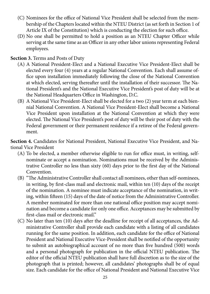- <span id="page-28-0"></span>(C) Nominees for the office of National Vice President shall be selected from the membership of the Chapters located within the NTEU District (as set forth in Section 1 of Article IX of the Constitution) which is conducting the election for such office.
- (D) No one shall be permitted to hold a position as an NTEU Chapter Officer while serving at the same time as an Officer in any other labor unions representing Federal employees.

#### **Section 3.** Terms and Posts of Duty

- (A) A National President-Elect and a National Executive Vice President-Elect shall be elected every four (4) years at a regular National Convention. Each shall assume office upon installation immediately following the close of the National Convention at which elected, serving thereafter until the installation of their successor. The National President's and the National Executive Vice President's post of duty will be at the National Headquarters Office in Washington, D.C.
- (B) A National Vice President-Elect shall be elected for a two (2) year term at each biennial National Convention. A National Vice President-Elect shall become a National Vice President upon installation at the National Convention at which they were elected. The National Vice President's post of duty will be their post of duty with the Federal government or their permanent residence if a retiree of the Federal government.

**Section 4.** Candidates for National President, National Executive Vice President, and National Vice President

- (A) To be elected, a member otherwise eligible to run for office must, in writing, selfnominate or accept a nomination. Nominations must be received by the Administrative Controller no less than sixty (60) days prior to the first day of the National Convention.
- (B) "The Administrative Controller shall contact all nominees, other than self-nominees, in writing, by first-class mail and electronic mail, within ten (10) days of the receipt of the nomination. A nominee must indicate acceptance of the nomination, in writing, within fifteen (15) days of the date of notice from the Administrative Controller. A member nominated for more than one national office position may accept nomination and become a candidate for only one office. Acceptances may be submitted by first-class mail or electronic mail."
- (C) No later than ten (10) days after the deadline for receipt of all acceptances, the Administrative Controller shall provide each candidate with a listing of all candidates running for the same position. In addition, each candidate for the office of National President and National Executive Vice-President shall be notified of the opportunity to submit an autobiographical account of no more than five hundred (500) words and a personal photograph for publication in the official NTEU publication. The editor of the official NTEU publication shall have full discretion as to the size of the photograph that is printed; however, all candidates' photographs shall be of equal size. Each candidate for the office of National President and National Executive Vice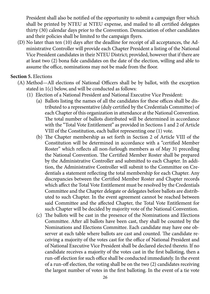<span id="page-29-0"></span>President shall also be notified of the opportunity to submit a campaign flyer which shall be printed by NTEU at NTEU expense, and mailed to all certified delegates thirty (30) calendar days prior to the Convention. Denunciation of other candidates and their policies shall be limited to the campaign flyers.

(D) No later than ten (10) days after the deadline for receipt of all acceptances, the Administrative Controller will provide each Chapter President a listing of the National Vice President candidates in their NTEU District; provided, however that if there are at least two (2) bona fide candidates on the date of the election, willing and able to assume the office, nominations may not be made from the floor.

#### **Section 5.** Elections

- (A) Method—All elections of National Officers shall be by ballot, with the exception stated in 1(c) below, and will be conducted as follows:
	- (1) Election of a National President and National Executive Vice President:
		- (a) Ballots listing the names of all the candidates for these offices shall be distributed to a representative (duly certified by the Credentials Committee) of each Chapter of this organization in attendance at the National Convention. The total number of ballots distributed will be determined in accordance with the "Total Vote Entitlement" as provided in Sections 1 and 2 of Article VIII of the Constitution, each ballot representing one (1) vote.
		- (b) The Chapter membership as set forth in Section 2 of Article VIII of the Constitution will be determined in accordance with a "certified Member Roster" which reflects all non-furlough members as of May 31 preceding the National Convention. The Certified Member Roster shall be prepared by the Administrative Controller and submitted to each Chapter. In addition, the Administrative Controller will submit to the Committee on Credentials a statement reflecting the total membership for each Chapter. Any discrepancies between the Certified Member Roster and Chapter records which affect the Total Vote Entitlement must be resolved by the Credentials Committee and the Chapter delegate or delegates before ballots are distributed to such Chapter. In the event agreement cannot be reached between said Committee and the affected Chapter, the Total Vote Entitlement for such Chapter will be decided by majority vote of the National Convention.
		- (c) The ballots will be cast in the presence of the Nominations and Elections Committee. After all ballots have been cast, they shall be counted by the Nominations and Elections Committee. Each candidate may have one observer at each table where ballots are cast and counted. The candidate receiving a majority of the votes cast for the office of National President and of National Executive Vice President shall be declared elected thereto. If no candidate receives a majority of the votes cast in the first balloting, then a run-off election for such office shall be conducted immediately. In the event of a run-off election, the voting shall be on the two (2) candidates receiving the largest number of votes in the first balloting. In the event of a tie vote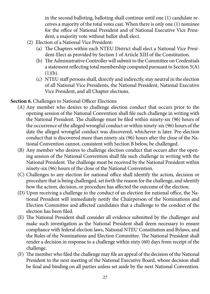<span id="page-30-0"></span>in the second balloting, balloting shall continue until one (1) candidate receives a majority of the total votes cast. When there is only one (1) nominee for the office of National President and of National Executive Vice President, a majority vote without ballot shall elect.

- (2) Election of a National Vice President:
	- (a) The Chapters within each NTEU District shall elect a National Vice President-Elect as provided by Section 1 of Article XIII of the Constitution.
	- (b) The Administrative Controller will submit to the Committee on Credentials a statement reflecting total membership computed pursuant to Section 5(A)  $(1)(b).$
	- (c) NTEU staff persons shall, directly and indirectly, stay neutral in the election of all National Vice Presidents, the National President, National Executive Vice President, and all Chapter elections.

#### **Section 6.** Challenges to National Officer Elections

- (A) Any member who desires to challenge election conduct that occurs prior to the opening session of the National Convention shall file such challenge in writing with the National President. The challenge must be filed within ninety-six (96) hours of the occurrence of the alleged wrongful conduct or within ninety-six (96) hours of the date the alleged wrongful conduct was discovered, whichever is later. Pre-election conduct that is discovered more than ninety-six (96) hours after the close of the National Convention cannot, consistent with Section B below, be challenged.
- (B) Any member who desires to challenge election conduct that occurs after the opening session of the National Convention shall file such challenge in writing with the National President. The challenge must be received by the National President within ninety-six (96) hours of the close of the National Convention.
- (C) Challenges to any election for national office shall identify the action, decision or procedure that is being challenged, set forth the reason for the challenge, and identify how the action, decision, or procedure has affected the outcome of the election.
- (D) Upon receiving a challenge to the conduct of an election for national office, the National President will immediately notify the Chairperson of the Nominations and Election Committee and affected candidates that a challenge to the conduct of the election has been filed.
- (E) The National President shall consider all evidence submitted by the challenger and make such investigation as the National President shall deem necessary to ensure compliance with federal election laws, National NTEU Constitution and Bylaws, and the Rules of the Nominations and Election Committee. The National President shall render a decision in response to a challenge within sixty (60) days from receipt of the challenge.
- (F) The member who filed the challenge may file an appeal of the decision of the National President to the next meeting of the National Executive Board, whose decision shall be final and binding on all parties unless set aside by the next National Convention.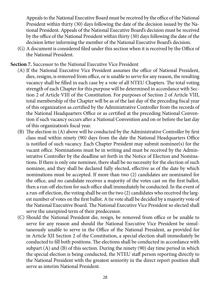<span id="page-31-0"></span>Appeals to the National Executive Board must be received by the office of the National President within thirty (30) days following the date of the decision issued by the National President. Appeals of the National Executive Board's decision must be received by the office of the National President within thirty (30) days following the date of the decision letter informing the member of the National Executive Board's decision.

(G) A document is considered filed under this section when it is received by the Office of the National President.

**Section 7.** Successor to the National Executive Vice President

- (A) If the National Executive Vice President assumes the office of National President, dies, resigns, is removed from office, or is unable to serve for any reason, the resulting vacancy shall be filled in each case by a vote of all NTEU Chapters. The total voting strength of each Chapter for this purpose will be determined in accordance with Section 2 of Article VIII of the Constitution. For purposes of Section 2 of Article VIII, total membership of the Chapter will be as of the last day of the preceding fiscal year of this organization as certified by the Administrative Controller from the records of the National Headquarters Office or as certified at the preceding National Convention if such vacancy occurs after a National Convention and on or before the last day of this organization's fiscal year.
- (B) The election in (A) above will be conducted by the Administrative Controller by first class mail within ninety (90) days from the date the National Headquarters Office is notified of such vacancy. Each Chapter President may submit nominee(s) for the vacant office. Nominations must be in writing and must be received by the Administrative Controller by the deadline set forth in the Notice of Election and Nominations. If there is only one nominee, there shall be no necessity for the election of such nominee, and they shall be declared fully elected, effective as of the date by which nominations must be accepted. If more than two (2) candidates are nominated for the office, and no candidate receives a majority of the votes cast on the first ballot, then a run-off election for such office shall immediately be conducted. In the event of a run-off election, the voting shall be on the two (2) candidates who received the largest number of votes on the first ballot. A tie vote shall be decided by a majority vote of the National Executive Board. The National Executive Vice President so elected shall serve the unexpired term of their predecessor.
- (C) Should the National President die, resign, be removed from office or be unable to serve for any reason and should the National Executive Vice President be simultaneously unable to serve in the Office of the National President, as provided for in Article XII Section 2 of the Constitution, a special election shall immediately be conducted to fill both positions. The elections shall be conducted in accordance with subpart (A) and (B) of this section. During the ninety (90) day time period in which the special election is being conducted, the NTEU staff person reporting directly to the National President with the greatest seniority in the direct report position shall serve as interim National President.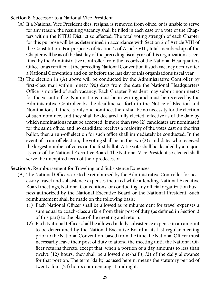<span id="page-32-0"></span>**Section 8.** Successor to a National Vice President

- (A) If a National Vice President dies, resigns, is removed from office, or is unable to serve for any reason, the resulting vacancy shall be filled in each case by a vote of the Chapters within the NTEU District so affected. The total voting strength of each Chapter for this purpose will be as determined in accordance with Section 2 of Article VIII of the Constitution. For purposes of Section 2 of Article VIII, total membership of the Chapter will be as of the last day of the preceding fiscal year of this organization as certified by the Administrative Controller from the records of the National Headquarters Office, or as certified at the preceding National Convention if such vacancy occurs after a National Convention and on or before the last day of this organization's fiscal year.
- (B) The election in (A) above will be conducted by the Administrative Controller by first-class mail within ninety (90) days from the date the National Headquarters Office is notified of such vacancy. Each Chapter President may submit nominee(s) for the vacant office. Nominations must be in writing and must be received by the Administrative Controller by the deadline set forth in the Notice of Election and Nominations. If there is only one nominee, there shall be no necessity for the election of such nominee, and they shall be declared fully elected, effective as of the date by which nominations must be accepted. If more than two (2) candidates are nominated for the same office, and no candidate receives a majority of the votes cast on the first ballot, then a run-off election for such office shall immediately be conducted. In the event of a run-off election, the voting shall be on the two (2) candidates who received the largest number of votes on the first ballot. A tie vote shall be decided by a majority vote of the National Executive Board. The National Vice President so elected shall serve the unexpired term of their predecessor.

**Section 9.** Reimbursement for Traveling and Subsistence Expenses

- (A) The National Officers are to be reimbursed by the Administrative Controller for necessary travel and subsistence expenses incurred while attending National Executive Board meetings, National Conventions, or conducting any official organization business authorized by the National Executive Board or the National President. Such reimbursement shall be made on the following basis:
	- (1) Each National Officer shall be allowed as reimbursement for travel expenses a sum equal to coach-class airfare from their post of duty (as defined in Section 3 of this part) to the place of the meeting and return.
	- (2) Each National Officer shall be allowed a daily subsistence expense in an amount to be determined by the National Executive Board at its last regular meeting prior to the National Convention, based from the time the National Officer must necessarily leave their post of duty to attend the meeting until the National Officer returns thereto, except that, when a portion of a day amounts to less than twelve (12) hours, they shall be allowed one-half (1/2) of the daily allowance for that portion. The term "daily," as used herein, means the statutory period of twenty-four (24) hours commencing at midnight.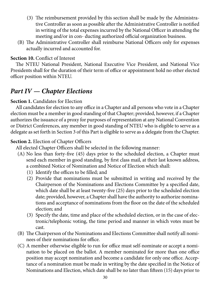- <span id="page-33-0"></span>(3) The reimbursement provided by this section shall be made by the Administrative Controller as soon as possible after the Administrative Controller is notified in writing of the total expenses incurred by the National Officer in attending the meeting and/or in con- ducting authorized official organization business.
- (B) The Administrative Controller shall reimburse National Officers only for expenses actually incurred and accounted for.

#### **Section 10.** Conflict of Interest

The NTEU National President, National Executive Vice President, and National Vice Presidents shall for the duration of their term of office or appointment hold no other elected officer position within NTEU.

## *Part IV — Chapter Elections*

#### **Section 1.** Candidates for Election

All candidates for election to any office in a Chapter and all persons who vote in a Chapter election must be a member in good standing of that Chapter; provided, however, if a Chapter authorizes the issuance of a proxy for purposes of representation at any National Convention or District Conferences, any member in good standing of NTEU who is eligible to serve as a delegate as set forth in Section 3 of this Part is eligible to serve as a delegate from the Chapter.

#### **Section 2.** Election of Chapter Officers

All elected Chapter Officers shall be selected in the following manner:

- (A) No less than forty-five (45) days prior to the scheduled election, a Chapter must send each member in good standing, by first class mail, at their last known address, a combined Notice of Nomination and Notice of Election which shall:
	- (1) Identify the offices to be filled; and
	- (2) Provide that nominations must be submitted in writing and received by the Chairperson of the Nominations and Elections Committee by a specified date, which date shall be at least twenty-five (25) days prior to the scheduled election date; provided, however, a Chapter shall have the authority to authorize nominations and acceptance of nominations from the floor on the date of the scheduled election; and
	- (3) Specify the date, time and place of the scheduled election, or in the case of electronic/telephonic voting, the time period and manner in which votes must be cast.
- (B) The Chairperson of the Nominations and Elections Committee shall notify all nominees of their nominations for office.
- (C) A member otherwise eligible to run for office must self-nominate or accept a nomination to be placed on the ballot. A member nominated for more than one office position may accept nomination and become a candidate for only one office. Acceptance of a nomination must be made in writing by the date specified in the Notice of Nominations and Election, which date shall be no later than fifteen (15) days prior to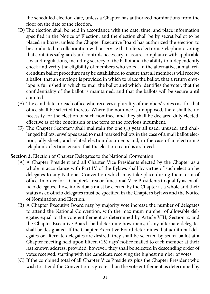<span id="page-34-0"></span>the scheduled election date, unless a Chapter has authorized nominations from the floor on the date of the election.

- (D) The election shall be held in accordance with the date, time, and place information specified in the Notice of Election, and the election shall be by secret ballot to be placed in boxes, unless the Chapter Executive Board has authorized the election to be conducted in collaboration with a service that offers electronic/telephonic voting that contains safeguards and controls necessary to assure compliance with applicable law and regulations, including secrecy of the ballot and the ability to independently check and verify the eligibility of members who voted. In the alternative, a mail referendum ballot procedure may be established to ensure that all members will receive a ballot, that an envelope is provided in which to place the ballot, that a return envelope is furnished in which to mail the ballot and which identifies the voter, that the confidentiality of the ballot is maintained, and that the ballots will be secure until counted.
- (E) The candidate for each office who receives a plurality of members' votes cast for that office shall be selected thereto. Where the nominee is unopposed, there shall be no necessity for the election of such nominee, and they shall be declared duly elected, effective as of the conclusion of the term of the previous incumbent.
- (F) The Chapter Secretary shall maintain for one (1) year all used, unused, and challenged ballots, envelopes used to mail marked ballots in the case of a mail ballot election, tally sheets, and related election documents and, in the case of an electronic/ telephonic election, ensure that the election record is archived.

**Section 3.** Election of Chapter Delegates to the National Convention

- (A) A Chapter President and all Chapter Vice Presidents elected by the Chapter as a whole in accordance with Part IV of the Bylaws shall by virtue of such election be delegates to any National Convention which may take place during their term of office. In order for a Chapter's area or functional Vice Presidents to qualify as ex officio delegates, those individuals must be elected by the Chapter as a whole and their status as ex officio delegates must be specified in the Chapter's bylaws and the Notice of Nomination and Election.
- (B) A Chapter Executive Board may by majority vote increase the number of delegates to attend the National Convention, with the maximum number of allowable delegates equal to the vote entitlement as determined by Article VIII, Section 2, and the Chapter Executive Board shall determine how many, if any, alternate delegates shall be designated. If the Chapter Executive Board determines that additional delegates or alternate delegates are desired, they shall be selected by secret ballot at a Chapter meeting held upon fifteen (15) days' notice mailed to each member at their last known address, provided, however, they shall be selected in descending order of votes received, starting with the candidate receiving the highest number of votes.
- (C) If the combined total of all Chapter Vice Presidents plus the Chapter President who wish to attend the Convention is greater than the vote entitlement as determined by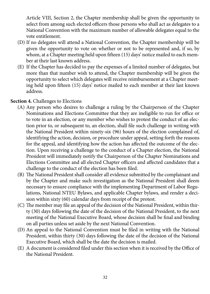<span id="page-35-0"></span>Article VIII, Section 2, the Chapter membership shall be given the opportunity to select from among such elected officers those persons who shall act as delegates to a National Convention with the maximum number of allowable delegates equal to the vote entitlement.

- (D) If no delegates will attend a National Convention, the Chapter membership will be given the opportunity to vote on whether or not to be represented and, if so, by whom, at a Chapter meeting held upon fifteen (15) days' notice mailed to each member at their last known address.
- (E) If the Chapter has decided to pay the expenses of a limited number of delegates, but more than that number wish to attend, the Chapter membership will be given the opportunity to select which delegates will receive reimbursement at a Chapter meeting held upon fifteen (15) days' notice mailed to each member at their last known address.

#### **Section 4.** Challenges to Elections

- (A) Any person who desires to challenge a ruling by the Chairperson of the Chapter Nominations and Elections Committee that they are ineligible to run for office or to vote in an election, or any member who wishes to protest the conduct of an election prior to, or subsequent to, an election, shall file such challenge in writing with the National President within ninety-six (96) hours of the election complained of, identifying the action, decision, or procedure under appeal, setting forth the reasons for the appeal, and identifying how the action has affected the outcome of the election. Upon receiving a challenge to the conduct of a Chapter election, the National President will immediately notify the Chairperson of the Chapter Nominations and Elections Committee and all elected Chapter officers and affected candidates that a challenge to the conduct of the election has been filed.
- (B) The National President shall consider all evidence submitted by the complainant and by the Chapter and make such investigation as the National President shall deem necessary to ensure compliance with the implementing Department of Labor Regulations, National NTEU Bylaws, and applicable Chapter bylaws, and render a decision within sixty (60) calendar days from receipt of the protest.
- (C) The member may file an appeal of the decision of the National President, within thirty (30) days following the date of the decision of the National President, to the next meeting of the National Executive Board, whose decision shall be final and binding on all parties unless set aside by the next National Convention.
- (D) An appeal to the National Convention must be filed in writing with the National President, within thirty (30) days following the date of the decision of the National Executive Board, which shall be the date the decision is mailed.
- (E) A document is considered filed under this section when it is received by the Office of the National President.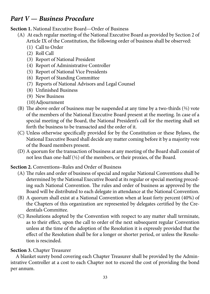### <span id="page-36-0"></span>*Part V — Business Procedure*

**Section 1.** National Executive Board—Order of Business

- (A) At each regular meeting of the National Executive Board as provided by Section 2 of Article IX of the Constitution, the following order of business shall be observed:
	- (1) Call to Order
	- (2) Roll Call
	- (3) Report of National President
	- (4) Report of Administrative Controller
	- (5) Report of National Vice Presidents
	- (6) Report of Standing Committee
	- (7) Reports of National Advisors and Legal Counsel
	- (8) Unfinished Business
	- (9) New Business
	- (10) Adjournment
- (B) The above order of business may be suspended at any time by a two-thirds  $(2/3)$  vote of the members of the National Executive Board present at the meeting. In case of a special meeting of the Board, the National President's call for the meeting shall set forth the business to be transacted and the order of it.
- (C) Unless otherwise specifically provided for by the Constitution or these Bylaws, the National Executive Board shall decide any matter coming before it by a majority vote of the Board members present.
- (D) A quorum for the transaction of business at any meeting of the Board shall consist of not less than one-half (1/2) of the members, or their proxies, of the Board.

**Section 2.** Conventions–Rules and Order of Business

- (A) The rules and order of business of special and regular National Conventions shall be determined by the National Executive Board at its regular or special meeting preceding such National Convention. The rules and order of business as approved by the Board will be distributed to each delegate in attendance at the National Convention.
- (B) A quorum shall exist at a National Convention when at least forty percent (40%) of the Chapters of this organization are represented by delegates certified by the Credentials Committee.
- (C) Resolutions adopted by the Convention with respect to any matter shall terminate, as to their effect, upon the call to order of the next subsequent regular Convention unless at the time of the adoption of the Resolution it is expressly provided that the effect of the Resolution shall be for a longer or shorter period, or unless the Resolution is rescinded.

#### **Section 3.** Chapter Treasurer

A blanket surety bond covering each Chapter Treasurer shall be provided by the Administrative Controller at a cost to each Chapter not to exceed the cost of providing the bond per annum.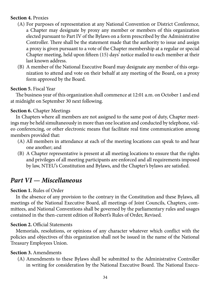#### <span id="page-37-0"></span>**Section 4.** Proxies

- (A) For purposes of representation at any National Convention or District Conference, a Chapter may designate by proxy any member or members of this organization elected pursuant to Part IV of the Bylaws on a form prescribed by the Administrative Controller. There shall be the statement made that the authority to issue and assign a proxy is given pursuant to a vote of the Chapter membership at a regular or special Chapter meeting, held upon fifteen (15) days' notice mailed to each member at their last known address.
- (B) A member of the National Executive Board may designate any member of this organization to attend and vote on their behalf at any meeting of the Board, on a proxy form approved by the Board.

#### **Section 5.** Fiscal Year

The business year of this organization shall commence at 12:01 a.m. on October 1 and end at midnight on September 30 next following.

#### **Section 6.** Chapter Meetings

In Chapters where all members are not assigned to the same post of duty, Chapter meetings may be held simultaneously in more than one location and conducted by telephone, video conferencing, or other electronic means that facilitate real time communication among members provided that:

- (A) All members in attendance at each of the meeting locations can speak to and hear one another; and
- (B) A Chapter representative is present at all meeting locations to ensure that the rights and privileges of all meeting participants are enforced and all requirements imposed by law, NTEU's Constitution and Bylaws, and the Chapter's bylaws are satisfied.

### *Part VI — Miscellaneous*

#### **Section 1.** Rules of Order

In the absence of any provision to the contrary in the Constitution and these Bylaws, all meetings of the National Executive Board, all meetings of Joint Councils, Chapters, committees, and National Conventions shall be governed by the parliamentary rules and usages contained in the then-current edition of Robert's Rules of Order, Revised.

#### **Section 2.** Official Statements

Memorials, resolutions, or opinions of any character whatever which conflict with the policies and objectives of this organization shall not be issued in the name of the National Treasury Employees Union.

#### **Section 3.** Amendments

(A) Amendments to these Bylaws shall be submitted to the Administrative Controller in writing for consideration by the National Executive Board. The National Execu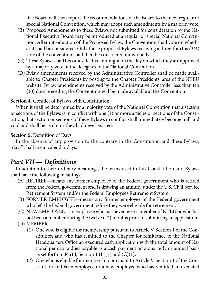<span id="page-38-0"></span>tive Board will then report the recommendations of the Board to the next regular or special National Convention, which may adopt such amendments by a majority vote.

- (B) Proposed Amendments to these Bylaws not submitted for consideration by the National Executive Board may be introduced at a regular or special National Convention. After introduction of the Proposed Bylaw, the Convention shall vote on whether it shall be considered. Only those proposed Bylaws receiving a three-fourths (3/4) vote of the convention shall then be considered individually.
- (C) These Bylaws shall become effective midnight on the day on which they are approved by a majority vote of the delegates to the National Convention.
- (D) Bylaw amendments received by the Administrative Controller shall be made available to Chapter Presidents by posting to the Chapter Presidents' area of the NTEU website. Bylaw amendments received by the Administrative Controller less than ten (10) days preceding the Convention will be made available at the Convention.

#### **Section 4.** Conflict of Bylaws with Constitution

When it shall be determined by a majority vote of the National Convention that a section or sections of the Bylaws is in conflict with one (1) or more articles or sections of the Constitution, that section or sections of these Bylaws in conflict shall immediately become null and void and shall be as if it or they had never existed.

#### **Section 5.** Definition of Days

In the absence of any provision to the contrary in the Constitution and these Bylaws, "days" shall mean calendar days.

### *Part VII — Definitions*

In addition to their ordinary meanings, the terms used in this Constitution and Bylaws shall have the following meanings:

- (A) RETIREE—means any former employee of the Federal government who is retired from the Federal government and is drawing an annuity under the U.S. Civil Service Retirement System and/or the Federal Employees Retirement System.
- (B) FORMER EMPLOYEE—means any former employee of the Federal government who left the Federal government before they were eligible for retirement.
- (C) NEW EMPLOYEE—an employee who has never been a member of NTEU or who has not been a member during the twelve (12) months prior to submitting an application.
- (D) MEMBER
	- (1) One who is eligible for membership pursuant to Article V, Section 1 of the Constitution and who has remitted to the Chapter for remittance to the National Headquarters Office an executed cash application with the total amount of National per capita dues payable as a cash payment on a quarterly or annual basis as set forth in Part I, Section 1 (B)(7) and  $(C)(1)$ ;
	- (2) One who is eligible for membership pursuant to Article V, Section 1 of the Constitution and is an employee or a new employee who has remitted an executed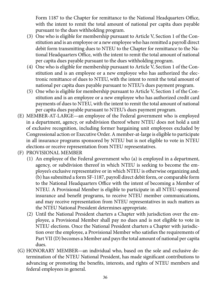Form 1187 to the Chapter for remittance to the National Headquarters Office, with the intent to remit the total amount of national per capita dues payable pursuant to the dues withholding program.

- (3) One who is eligible for membership pursuant to Article V, Section 1 of the Constitution and is an employee or a new employee who has remitted a payroll direct debit form transmitting dues to NTEU to the Chapter for remittance to the National Headquarters Office, with the intent to remit the total amount of national per capita dues payable pursuant to the dues withholding program.
- (4) One who is eligible for membership pursuant to Article V, Section 1 of the Constitution and is an employee or a new employee who has authorized the electronic remittance of dues to NTEU, with the intent to remit the total amount of national per capita dues payable pursuant to NTEU's dues payment program.
- (5) One who is eligible for membership pursuant to Article V, Section 1 of the Constitution and is an employee or a new employee who has authorized credit card payments of dues to NTEU, with the intent to remit the total amount of national per capita dues payable pursuant to NTEU's dues payment program.
- (E) MEMBER-AT-LARGE—an employee of the Federal government who is employed in a department, agency, or subdivision thereof where NTEU does not hold a unit of exclusive recognition, including former bargaining unit employees excluded by Congressional action or Executive Order. A member-at-large is eligible to participate in all insurance programs sponsored by NTEU but is not eligible to vote in NTEU elections or receive representation from NTEU representatives.
- (F) PROVISIONAL MEMBER
	- (1) An employee of the Federal government who (a) is employed in a department, agency, or subdivision thereof in which NTEU is seeking to become the employee's exclusive representative or in which NTEU is otherwise organizing and; (b) has submitted a form SF-1187, payroll direct debit form, or comparable form to the National Headquarters Office with the intent of becoming a Member of NTEU. A Provisional Member is eligible to participate in all NTEU-sponsored insurance and benefit programs, to receive NTEU member communications, and may receive representation from NTEU representatives in such matters as the NTEU National President determines appropriate.
	- (2) Until the National President charters a Chapter with jurisdiction over the employee, a Provisional Member shall pay no dues and is not eligible to vote in NTEU elections. Once the National President charters a Chapter with jurisdiction over the employee, a Provisional Member who satisfies the requirements of Part VII (D) becomes a Member and pays the total amount of national per capita dues.
- (G) HONORARY MEMBER—an individual who, based on the sole and exclusive determination of the NTEU National President, has made significant contributions to advancing or promoting the benefits, interests, and rights of NTEU members and federal employees in general.